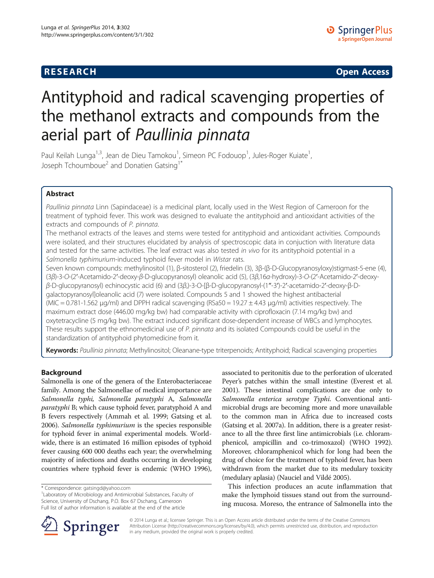## **RESEARCH CHINESE ARCH CHINESE ARCHITECT ARCHITECT ARCHITECT ARCHITECT ARCHITECT ARCHITECT ARCHITECT ARCHITECT ARCHITECT ARCHITECT ARCHITECT ARCHITECT ARCHITECT ARCHITECT ARCHITECT ARCHITECT ARCHITECT ARCHITECT ARCHITE**

# Antityphoid and radical scavenging properties of the methanol extracts and compounds from the aerial part of Paullinia pinnata

Paul Keilah Lunga<sup>1,3</sup>, Jean de Dieu Tamokou<sup>1</sup>, Simeon PC Fodouop<sup>1</sup>, Jules-Roger Kuiate<sup>1</sup> , Joseph Tchoumboue<sup>2</sup> and Donatien Gatsing<sup>1</sup>

## Abstract

Paullinia pinnata Linn (Sapindaceae) is a medicinal plant, locally used in the West Region of Cameroon for the treatment of typhoid fever. This work was designed to evaluate the antityphoid and antioxidant activities of the extracts and compounds of P. pinnata.

The methanol extracts of the leaves and stems were tested for antityphoid and antioxidant activities. Compounds were isolated, and their structures elucidated by analysis of spectroscopic data in conjuction with literature data and tested for the same activities. The leaf extract was also tested in vivo for its antityphoid potential in a Salmonella typhimurium-induced typhoid fever model in Wistar rats.

Seven known compounds: methylinositol (1), β-sitosterol (2), friedelin (3), 3β-(β-D-Glucopyranosyloxy)stigmast-5-ene (4), (3β)-3-O-(2′-Acetamido-2′-deoxy-β-D-glucopyranosyl) oleanolic acid (5), (3β,16α-hydroxy)-3-O-(2′-Acetamido-2′-deoxyβ-D-glucopyranosyl) echinocystic acid (6) and (3β,)-3-O-[β-D-glucopyranosyl-(1″-3′)-2′-acetamido-2′-deoxy-β-Dgalactopyranosyl]oleanolic acid (7) were isolated. Compounds 5 and 1 showed the highest antibacterial (MIC = 0.781-1.562 μg/ml) and DPPH radical scavenging (RSa50 = 19.27  $\pm$  4.43 μg/ml) activities respectively. The maximum extract dose (446.00 mg/kg bw) had comparable activity with ciprofloxacin (7.14 mg/kg bw) and oxytetracycline (5 mg/kg bw). The extract induced significant dose-dependent increase of WBCs and lymphocytes. These results support the ethnomedicinal use of P. pinnata and its isolated Compounds could be useful in the standardization of antityphoid phytomedicine from it.

Keywords: Paullinia pinnata; Methylinositol; Oleanane-type triterpenoids; Antityphoid; Radical scavenging properties

## Background

Salmonella is one of the genera of the Enterobacteriaceae family. Among the Salmonellae of medical importance are Salmonella typhi, Salmonella paratyphi A, Salmonella paratyphi B; which cause typhoid fever, paratyphoid A and B fevers respectively (Ammah et al. [1999;](#page-8-0) Gatsing et al. [2006\)](#page-8-0). Salmonella typhimurium is the species responsible for typhoid fever in animal experimental models. Worldwide, there is an estimated 16 million episodes of typhoid fever causing 600 000 deaths each year; the overwhelming majority of infections and deaths occurring in developing countries where typhoid fever is endemic (WHO [1996](#page-8-0)),

associated to peritonitis due to the perforation of ulcerated Peyer's patches within the small intestine (Everest et al. [2001](#page-8-0)). These intestinal complications are due only to Salmonella enterica serotype Typhi. Conventional antimicrobial drugs are becoming more and more unavailable to the common man in Africa due to increased costs (Gatsing et al. [2007a](#page-8-0)). In addition, there is a greater resistance to all the three first line antimicrobials (i.e. chloramphenicol, ampicillin and co-trimoxazol) (WHO [1992](#page-8-0)). Moreover, chloramphenicol which for long had been the drug of choice for the treatment of typhoid fever, has been withdrawn from the market due to its medulary toxicity (medulary aplasia) (Nauciel and Vildé [2005\)](#page-8-0).

This infection produces an acute inflammation that make the lymphoid tissues stand out from the surrounding mucosa. Moreso, the entrance of Salmonella into the



© 2014 Lunga et al.; licensee Springer. This is an Open Access article distributed under the terms of the Creative Commons Attribution License [\(http://creativecommons.org/licenses/by/4.0\)](http://creativecommons.org/licenses/by/4.0), which permits unrestricted use, distribution, and reproduction in any medium, provided the original work is properly credited.

<sup>\*</sup> Correspondence: [gatsingd@yahoo.com](mailto:gatsingd@yahoo.com) <sup>1</sup>

Laboratory of Microbiology and Antimicrobial Substances, Faculty of Science, University of Dschang, P.O. Box 67 Dschang, Cameroon Full list of author information is available at the end of the article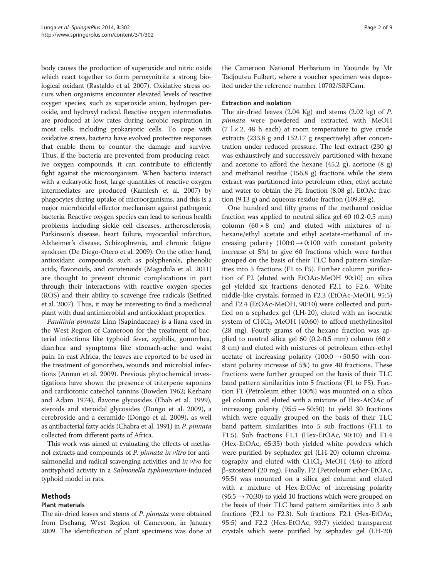body causes the production of superoxide and nitric oxide which react together to form peroxynitrite a strong biological oxidant (Rastaldo et al. [2007\)](#page-8-0). Oxidative stress occurs when organisms encounter elevated levels of reactive oxygen species, such as superoxide anion, hydrogen peroxide, and hydroxyl radical. Reactive oxygen intermediates are produced at low rates during aerobic respiration in most cells, including prokaryotic cells. To cope with oxidative stress, bacteria have evolved protective responses that enable them to counter the damage and survive. Thus, if the bacteria are prevented from producing reactive oxygen compounds, it can contribute to efficiently fight against the microorganism. When bacteria interact with a eukaryotic host, large quantities of reactive oxygen intermediates are produced (Kamlesh et al. [2007\)](#page-8-0) by phagocytes during uptake of microorganisms, and this is a major microbicidal effector mechanism against pathogenic bacteria. Reactive oxygen species can lead to serious health problems including sickle cell diseases, artherosclerosis, Parkinson's disease, heart failure, myocardial infarction, Alzheimer's disease, Schizophrenia, and chronic fatigue syndrom (De Diego-Otero et al. [2009\)](#page-8-0). On the other hand, antioxidant compounds such as polyphenols, phenolic acids, flavonoids, and carotenoids (Magadula et al. [2011](#page-8-0)) are thought to prevent chronic complications in part through their interactions with reactive oxygen species (ROS) and their ability to scavenge free radicals (Seifried et al. [2007\)](#page-8-0). Thus, it may be interesting to find a medicinal plant with dual antimicrobial and antioxidant properties.

Paullinia pinnata Linn (Sapindaceae) is a liana used in the West Region of Cameroon for the treatment of bacterial infections like typhoid fever, syphilis, gonorrhea, diarrhea and symptoms like stomach-ache and waist pain. In east Africa, the leaves are reported to be used in the treatment of gonorrhea, wounds and microbial infections (Annan et al. [2009\)](#page-8-0). Previous phytochemical investigations have shown the presence of triterpene saponins and cardiotonic catechol tannins (Bowden [1962](#page-8-0); Kerharo and Adam [1974\)](#page-8-0), flavone glycosides (Ehab et al. [1999](#page-8-0)), steroids and steroidal glycosides (Dongo et al. [2009](#page-8-0)), a cerebroside and a ceramide (Dongo et al. [2009](#page-8-0)), as well as antibacterial fatty acids (Chabra et al. [1991\)](#page-8-0) in P. pinnata collected from different parts of Africa.

This work was aimed at evaluating the effects of methanol extracts and compounds of P. pinnata in vitro for antisalmonellal and radical scavenging activities and *in vivo* for antityphoid activity in a Salmonella typhimurium-induced typhoid model in rats.

## Methods

## Plant materials

The air-dried leaves and stems of *P. pinnata* were obtained from Dschang, West Region of Cameroon, in January 2009. The identification of plant specimens was done at

the Cameroon National Herbarium in Yaounde by Mr Tadjouteu Fulbert, where a voucher specimen was deposited under the reference number 10702/SRFCam.

#### Extraction and isolation

The air-dried leaves (2.04 Kg) and stems (2.02 kg) of P. pinnata were powdered and extracted with MeOH  $(7 \text{ l} \times 2, 48 \text{ h} \text{ each})$  at room temperature to give crude extracts (233.8 g and 152.17 g respectively) after concentration under reduced pressure. The leaf extract (230 g) was exhaustively and successively partitioned with hexane and acetone to afford the hexane (45.2 g), acetone (8 g) and methanol residue (156.8 g) fractions while the stem extract was partitioned into petroleum ether, ethyl acetate and water to obtain the PE fraction (8.08 g), EtOAc fraction (9.13 g) and aqueous residue fraction (109.89 g).

One hundred and fifty grams of the methanol residue fraction was applied to neutral silica gel 60 (0.2-0.5 mm) column  $(60 \times 8$  cm) and eluted with mixtures of nhexane/ethyl acetate and ethyl acetate-methanol of increasing polarity  $(100:0 \rightarrow 0:100$  with constant polarity increase of 5%) to give 60 fractions which were further grouped on the basis of their TLC band pattern similarities into 5 fractions (F1 to F5). Further column purification of F2 (eluted with EtOAc-MeOH 90:10) on silica gel yielded six fractions denoted F2.1 to F2.6. White niddle-like crystals, formed in F2.3 (EtOAc-MeOH, 95:5) and F2.4 (EtOAc-MeOH, 90:10) were collected and purified on a sephadex gel (LH-20), eluted with an isocratic system of CHCl<sub>3</sub>-MeOH (40:60) to afford methylinositol (28 mg). Fourty grams of the hexane fraction was applied to neutral silica gel 60 (0.2-0.5 mm) column (60  $\times$ 8 cm) and eluted with mixtures of petroleum ether-ethyl acetate of increasing polarity  $(100:0 \rightarrow 50:50$  with constant polarity increase of 5%) to give 40 fractions. These fractions were further grouped on the basis of their TLC band pattern similarities into 5 fractions (F1 to F5). Fraction F1 (Petroleum ether 100%) was mounted on a silica gel column and eluted with a mixture of Hex-AtOAc of increasing polarity (95:5  $\rightarrow$  50:50) to yield 30 fractions which were equally grouped on the basis of their TLC band pattern similarities into 5 sub fractions (F1.1 to F1.5). Sub fractions F1.1 (Hex-EtOAc, 90:10) and F1.4 (Hex-EtOAc, 65:35) both yielded white powders which were purified by sephadex gel (LH-20) column chromatography and eluted with  $CHCl<sub>3</sub>$ -MeOH (4:6) to afford β-sitosterol (20 mg). Finally, F2 (Petroleum ether-EtOAc, 95:5) was mounted on a silica gel column and eluted with a mixture of Hex-EtOAc of increasing polarity  $(95:5 \rightarrow 70:30)$  to yield 10 fractions which were grouped on the basis of their TLC band pattern similarities into 3 sub fractions (F2.1 to F2.3). Sub fractions F2.1 (Hex-EtOAc, 95:5) and F2.2 (Hex-EtOAc, 93:7) yielded transparent crystals which were purified by sephadex gel (LH-20)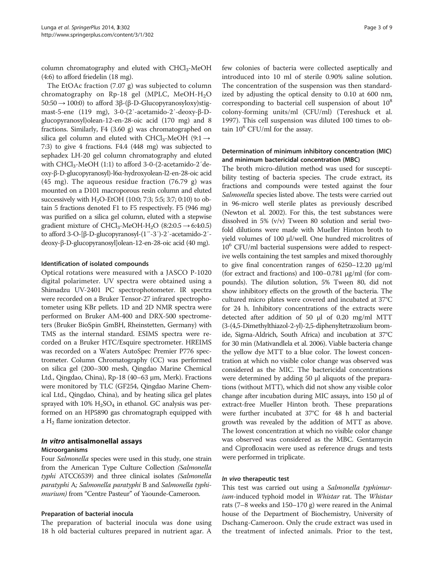column chromatography and eluted with CHCl<sub>3</sub>-MeOH (4:6) to afford friedelin (18 mg).

The EtOAc fraction (7.07 g) was subjected to column chromatography on Rp-18 gel (MPLC, MeOH-H2O  $50:50 \rightarrow 100:0$ ) to afford 3β-(β-D-Glucopyranosyloxy)stigmast-5-ene (119 mg), 3-0-(2′-acetamido-2′-deoxy-β-Dglucopyranosyl)olean-12-en-28-oic acid (170 mg) and 8 fractions. Similarly, F4 (3.60 g) was chromatographed on silica gel column and eluted with CHCl<sub>3</sub>-MeOH (9:1  $\rightarrow$ 7:3) to give 4 fractions. F4.4 (448 mg) was subjected to sephadex LH-20 gel column chromatography and eluted with  $CHCl<sub>3</sub>-MeOH (1:1)$  to afford 3-0-(2-acetamido-2'deoxy-β-D-glucopyranosyl)-l6α-hydroxyolean-l2-en-28-oic acid (45 mg). The aqueous residue fraction (76.79 g) was mounted on a D101 macroporous resin column and eluted successively with  $H_2O$ -EtOH (10:0; 7:3; 5:5; 3:7; 0:10) to obtain 5 fractions denoted F1 to F5 respectively. F5 (946 mg) was purified on a silica gel column, eluted with a stepwise gradient mixture of CHCl<sub>3</sub>-MeOH-H<sub>2</sub>O (8:2:0.5  $\rightarrow$  6:4:0.5) to afford 3-O-[β-D-glucopyranosyl-(1″-3′)-2′-acetamido-2′ deoxy-β-D-glucopyranosyl]olean-12-en-28-oic acid (40 mg).

#### Identification of isolated compounds

Optical rotations were measured with a JASCO P-1020 digital polarimeter. UV spectra were obtained using a Shimadzu UV-2401 PC spectrophotometer. IR spectra were recorded on a Bruker Tensor-27 infrared spectrophotometer using KBr pellets. 1D and 2D NMR spectra were performed on Bruker AM-400 and DRX-500 spectrometers (Bruker BioSpin GmBH, Rheinstetten, Germany) with TMS as the internal standard. ESIMS spectra were recorded on a Bruker HTC/Esquire spectrometer. HREIMS was recorded on a Waters AutoSpec Premier P776 spectrometer. Column Chromatography (CC) was performed on silica gel (200–300 mesh, Qingdao Marine Chemical Ltd., Qingdao, China), Rp-18 (40–63 μm, Merk). Fractions were monitored by TLC (GF254, Qingdao Marine Chemical Ltd., Qingdao, China), and by heating silica gel plates sprayed with  $10\%$  H<sub>2</sub>SO<sub>4</sub> in ethanol. GC analysis was performed on an HP5890 gas chromatograph equipped with a H2 flame ionization detector.

## In vitro antisalmonellal assays Microorganisms

Four Salmonella species were used in this study, one strain from the American Type Culture Collection (Salmonella typhi ATCC6539) and three clinical isolates (Salmonella paratyphi A; Salmonella paratyphi B and Salmonella typhimurium) from "Centre Pasteur" of Yaounde-Cameroon.

#### Preparation of bacterial inocula

The preparation of bacterial inocula was done using 18 h old bacterial cultures prepared in nutrient agar. A

few colonies of bacteria were collected aseptically and introduced into 10 ml of sterile 0.90% saline solution. The concentration of the suspension was then standardized by adjusting the optical density to 0.10 at 600 nm, corresponding to bacterial cell suspension of about  $10<sup>8</sup>$ colony-forming units/ml (CFU/ml) (Tereshuck et al. [1997](#page-8-0)). This cell suspension was diluted 100 times to obtain  $10^6$  CFU/ml for the assay.

## Determination of minimum inhibitory concentration (MIC) and minimum bactericidal concentration (MBC)

The broth micro-dilution method was used for susceptibility testing of bacteria species. The crude extract, its fractions and compounds were tested against the four Salmonella species listed above. The tests were carried out in 96-micro well sterile plates as previously described (Newton et al. [2002](#page-8-0)). For this, the test substances were dissolved in 5% (v/v) Tween 80 solution and serial twofold dilutions were made with Mueller Hinton broth to yield volumes of 100 μl/well. One hundred microlitres of  $10<sup>6</sup>$  CFU/ml bacterial suspensions were added to respective wells containing the test samples and mixed thoroughly to give final concentration ranges of 6250–12.20 μg/ml (for extract and fractions) and 100–0.781 μg/ml (for compounds). The dilution solution, 5% Tween 80, did not show inhibitory effects on the growth of the bacteria. The cultured micro plates were covered and incubated at 37°C for 24 h. Inhibitory concentrations of the extracts were detected after addition of 50 μl of 0.20 mg/ml MTT (3-(4,5-Dimethylthiazol-2-yl)-2,5-diphenyltetrazolium bromide, Sigma-Aldrich, South Africa) and incubation at 37°C for 30 min (Mativandlela et al. [2006\)](#page-8-0). Viable bacteria change the yellow dye MTT to a blue color. The lowest concentration at which no visible color change was observed was considered as the MIC. The bactericidal concentrations were determined by adding 50 μl aliquots of the preparations (without MTT), which did not show any visible color change after incubation during MIC assays, into 150 μl of extract-free Mueller Hinton broth. These preparations were further incubated at 37°C for 48 h and bacterial growth was revealed by the addition of MTT as above. The lowest concentration at which no visible color change was observed was considered as the MBC. Gentamycin and Ciprofloxacin were used as reference drugs and tests were performed in triplicate.

#### In vivo therapeutic test

This test was carried out using a Salmonella typhimurium-induced typhoid model in Whistar rat. The Whistar rats (7–8 weeks and 150–170 g) were reared in the Animal house of the Department of Biochemistry, University of Dschang-Cameroon. Only the crude extract was used in the treatment of infected animals. Prior to the test,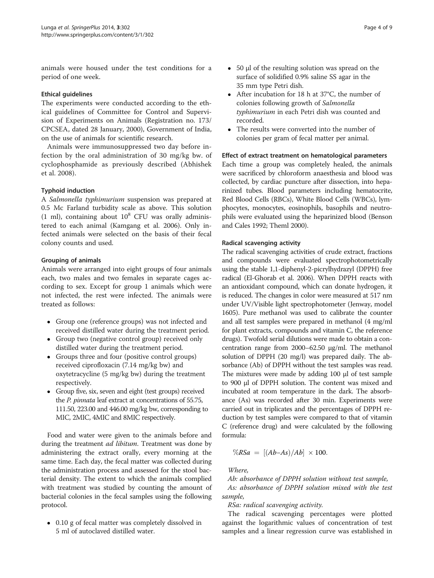animals were housed under the test conditions for a period of one week.

## Ethical guidelines

The experiments were conducted according to the ethical guidelines of Committee for Control and Supervision of Experiments on Animals (Registration no. 173/ CPCSEA, dated 28 January, 2000), Government of India, on the use of animals for scientific research.

Animals were immunosuppressed two day before infection by the oral administration of 30 mg/kg bw. of cyclophosphamide as previously described (Abhishek et al. [2008](#page-8-0)).

## Typhoid induction

A Salmonella typhimurium suspension was prepared at 0.5 Mc Farland turbidity scale as above. This solution (1 ml), containing about  $10^8$  CFU was orally administered to each animal (Kamgang et al. [2006\)](#page-8-0). Only infected animals were selected on the basis of their fecal colony counts and used.

## Grouping of animals

Animals were arranged into eight groups of four animals each, two males and two females in separate cages according to sex. Except for group 1 animals which were not infected, the rest were infected. The animals were treated as follows:

- Group one (reference groups) was not infected and received distilled water during the treatment period.
- Group two (negative control group) received only distilled water during the treatment period.
- Groups three and four (positive control groups) received ciprofloxacin (7.14 mg/kg bw) and oxytetracycline (5 mg/kg bw) during the treatment respectively.
- Group five, six, seven and eight (test groups) received the P. pinnata leaf extract at concentrations of 55.75, 111.50, 223.00 and 446.00 mg/kg bw, corresponding to MIC, 2MIC, 4MIC and 8MIC respectively.

Food and water were given to the animals before and during the treatment *ad libitum*. Treatment was done by administering the extract orally, every morning at the same time. Each day, the fecal matter was collected during the administration process and assessed for the stool bacterial density. The extent to which the animals complied with treatment was studied by counting the amount of bacterial colonies in the fecal samples using the following protocol.

• 0.10 g of fecal matter was completely dissolved in 5 ml of autoclaved distilled water.

- 50 μl of the resulting solution was spread on the surface of solidified 0.9% saline SS agar in the 35 mm type Petri dish.
- After incubation for 18 h at 37°C, the number of colonies following growth of Salmonella typhimurium in each Petri dish was counted and recorded.
- The results were converted into the number of colonies per gram of fecal matter per animal.

#### Effect of extract treatment on hematological parameters

Each time a group was completely healed, the animals were sacrificed by chloroform anaesthesia and blood was collected, by cardiac puncture after dissection, into heparinized tubes. Blood parameters including hematocrite, Red Blood Cells (RBCs), White Blood Cells (WBCs), lymphocytes, monocytes, eosinophils, basophils and neutrophils were evaluated using the heparinized blood (Benson and Cales [1992](#page-8-0); Theml [2000](#page-8-0)).

#### Radical scavenging activity

The radical scavenging activities of crude extract, fractions and compounds were evaluated spectrophotometrically using the stable 1,1-diphenyl-2-picrylhydrazyl (DPPH) free radical (El-Ghorab et al. [2006\)](#page-8-0). When DPPH reacts with an antioxidant compound, which can donate hydrogen, it is reduced. The changes in color were measured at 517 nm under UV/Visible light spectrophotometer (Jenway, model 1605). Pure methanol was used to calibrate the counter and all test samples were prepared in methanol (4 mg/ml for plant extracts, compounds and vitamin C, the reference drugs). Twofold serial dilutions were made to obtain a concentration range from 2000–62.50 μg/ml. The methanol solution of DPPH (20 mg/l) was prepared daily. The absorbance (Ab) of DPPH without the test samples was read. The mixtures were made by adding 100 μl of test sample to 900 μl of DPPH solution. The content was mixed and incubated at room temperature in the dark. The absorbance (As) was recorded after 30 min. Experiments were carried out in triplicates and the percentages of DPPH reduction by test samples were compared to that of vitamin C (reference drug) and were calculated by the following formula:

$$
\%RSa = [(Ab-As)/Ab] \times 100.
$$

Where,

Ab: absorbance of DPPH solution without test sample, As: absorbance of DPPH solution mixed with the test sample,

RSa: radical scavenging activity.

The radical scavenging percentages were plotted against the logarithmic values of concentration of test samples and a linear regression curve was established in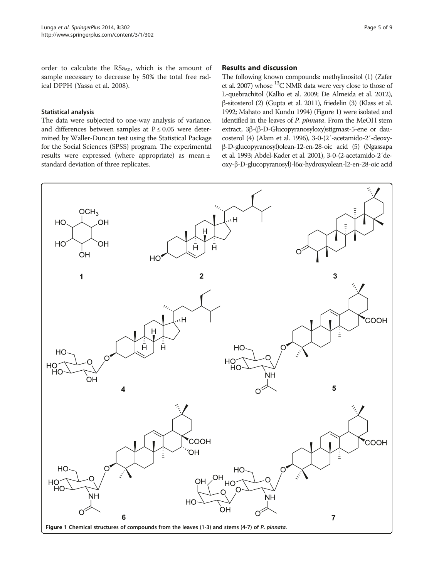<span id="page-4-0"></span>order to calculate the  $RSa_{50}$ , which is the amount of sample necessary to decrease by 50% the total free radical DPPH (Yassa et al. [2008\)](#page-8-0).

#### Statistical analysis

The data were subjected to one-way analysis of variance, and differences between samples at  $P \le 0.05$  were determined by Waller-Duncan test using the Statistical Package for the Social Sciences (SPSS) program. The experimental results were expressed (where appropriate) as mean ± standard deviation of three replicates.

## Results and discussion

The following known compounds: methylinositol (1) (Zafer et al. [2007](#page-8-0)) whose  $^{13}$ C NMR data were very close to those of L-quebrachitol (Kallio et al. [2009;](#page-8-0) De Almeida et al. [2012\)](#page-8-0), β-sitosterol (2) (Gupta et al. [2011](#page-8-0)), friedelin (3) (Klass et al. [1992](#page-8-0); Mahato and Kundu [1994](#page-8-0)) (Figure 1) were isolated and identified in the leaves of P. pinnata. From the MeOH stem extract, 3β-(β-D-Glucopyranosyloxy)stigmast-5-ene or daucosterol (4) (Alam et al. [1996\)](#page-8-0), 3-0-(2′-acetamido-2′-deoxyβ-D-glucopyranosyl)olean-12-en-28-oic acid (5) (Ngassapa et al. [1993](#page-8-0); Abdel-Kader et al. [2001\)](#page-8-0), 3-0-(2-acetamido-2′deoxy-β-D-glucopyranosyl)-l6α-hydroxyolean-l2-en-28-oic acid

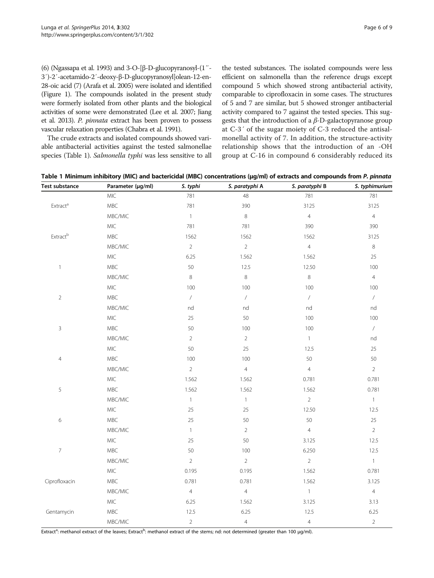(6) (Ngassapa et al. [1993\)](#page-8-0) and 3-O-[β-D-glucopyranosyl-(1″- 3′)-2′-acetamido-2′-deoxy-β-D-glucopyranosyl]olean-12-en-28-oic acid (7) (Arafa et al. [2005\)](#page-8-0) were isolated and identified (Figure [1](#page-4-0)). The compounds isolated in the present study were formerly isolated from other plants and the biological activities of some were demonstrated (Lee et al. [2007](#page-8-0); Jiang et al. [2013](#page-8-0)). P. pinnata extract has been proven to possess vascular relaxation properties (Chabra et al. [1991\)](#page-8-0).

The crude extracts and isolated compounds showed variable antibacterial activities against the tested salmonellae species (Table 1). Salmonella typhi was less sensitive to all the tested substances. The isolated compounds were less efficient on salmonella than the reference drugs except compound 5 which showed strong antibacterial activity, comparable to ciprofloxacin in some cases. The structures of 5 and 7 are similar, but 5 showed stronger antibacterial activity compared to 7 against the tested species. This suggests that the introduction of a  $β$ -D-galactopyranose group at C-3′ of the sugar moiety of C-3 reduced the antisalmonellal activity of 7. In addition, the structure-activity relationship shows that the introduction of an -OH group at C-16 in compound 6 considerably reduced its

|  |  |  | Table 1 Minimum inhibitory (MIC) and bactericidal (MBC) concentrations (µg/ml) of extracts and compounds from P. pinnata |  |  |  |  |  |  |
|--|--|--|--------------------------------------------------------------------------------------------------------------------------|--|--|--|--|--|--|
|--|--|--|--------------------------------------------------------------------------------------------------------------------------|--|--|--|--|--|--|

| <b>Test substance</b>    | Parameter (µg/ml) | S. typhi       | S. paratyphi A | S. paratyphi B               | S. typhimurium               |
|--------------------------|-------------------|----------------|----------------|------------------------------|------------------------------|
|                          | MIC               | 781            | 48             | 781                          | 781                          |
| Extract <sup>a</sup>     | MBC               | 781            | 390            | 3125                         | 3125                         |
|                          | MBC/MIC           | $\overline{1}$ | $\,8\,$        | $\overline{4}$               | $\overline{4}$               |
|                          | $MIC$             | 781            | 781            | 390                          | 390                          |
| Extractb                 | MBC               | 1562           | 1562           | 1562                         | 3125                         |
|                          | MBC/MIC           | $\overline{2}$ | $\sqrt{2}$     | $\overline{4}$               | $\,8\,$                      |
|                          | MIC               | 6.25           | 1.562          | 1.562                        | 25                           |
| $\mathbf{1}$             | MBC               | 50             | 12.5           | 12.50                        | 100                          |
|                          | MBC/MIC           | $\,8\,$        | $\,8\,$        | $\,8\,$                      | $\overline{4}$               |
|                          | $MIC$             | 100            | 100            | 100                          | 100                          |
| $\sqrt{2}$               | MBC               | $\overline{ }$ | $\overline{ }$ | $\overline{ }$               | $\overline{ }$               |
|                          | MBC/MIC           | nd             | nd             | $\operatorname{\mathsf{nd}}$ | nd                           |
|                          | MIC               | 25             | 50             | 100                          | 100                          |
| $\mathsf 3$              | MBC               | 50             | 100            | 100                          | $\overline{ }$               |
|                          | MBC/MIC           | $\overline{2}$ | $\sqrt{2}$     | $\mathbf 1$                  | $\operatorname{\mathsf{nd}}$ |
|                          | $MIC$             | 50             | 25             | 12.5                         | 25                           |
| $\overline{4}$           | MBC               | 100            | 100            | 50                           | 50                           |
|                          | MBC/MIC           | $\overline{2}$ | $\overline{4}$ | $\overline{4}$               | $\overline{2}$               |
|                          | MIC               | 1.562          | 1.562          | 0.781                        | 0.781                        |
| 5                        | MBC               | 1.562          | 1.562          | 1.562                        | 0.781                        |
|                          | MBC/MIC           | $\mathbf{1}$   | $\mathbbm{1}$  | $\sqrt{2}$                   | $\overline{1}$               |
|                          | $MIC$             | 25             | 25             | 12.50                        | 12.5                         |
| $\epsilon$               | MBC               | 25             | 50             | 50                           | 25                           |
|                          | MBC/MIC           | $\mathbf{1}$   | $\sqrt{2}$     | $\overline{4}$               | $\overline{2}$               |
|                          | $MIC$             | 25             | 50             | 3.125                        | 12.5                         |
| $\overline{\mathcal{I}}$ | MBC               | 50             | 100            | 6.250                        | 12.5                         |
|                          | MBC/MIC           | $\overline{2}$ | $\overline{2}$ | $\overline{2}$               | $\overline{1}$               |
|                          | MIC               | 0.195          | 0.195          | 1.562                        | 0.781                        |
| Ciprofloxacin            | MBC               | 0.781          | 0.781          | 1.562                        | 3.125                        |
|                          | MBC/MIC           | $\overline{4}$ | $\overline{4}$ | $\overline{1}$               | $\overline{4}$               |
|                          | $MIC$             | 6.25           | 1.562          | 3.125                        | 3.13                         |
| Gentamycin               | MBC               | 12.5           | 6.25           | 12.5                         | 6.25                         |
|                          | MBC/MIC           | $\overline{2}$ | $\overline{4}$ | $\overline{4}$               | $\overline{2}$               |

Extract<sup>a</sup>: methanol extract of the leaves; Extract<sup>b</sup>: methanol extract of the stems; nd: not determined (greater than 100 µg/ml).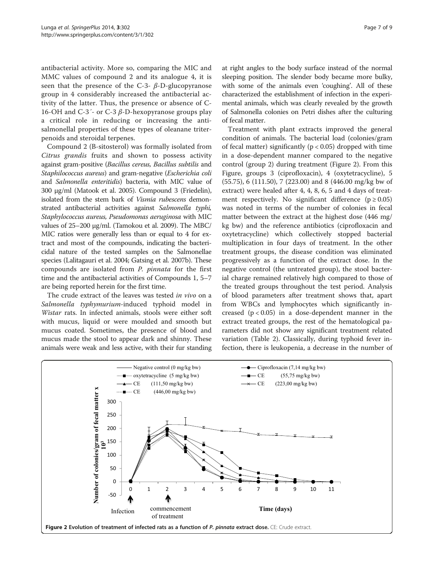antibacterial activity. More so, comparing the MIC and MMC values of compound 2 and its analogue 4, it is seen that the presence of the C-3-  $\beta$ -D-glucopyranose group in 4 considerably increased the antibacterial activity of the latter. Thus, the presence or absence of C-16-OH and C-3<sup>'</sup>- or C-3  $β$ -D-hexopyranose groups play a critical role in reducing or increasing the antisalmonellal properties of these types of oleanane triterpenoids and steroidal terpenes.

Compound 2 (B-sitosterol) was formally isolated from Citrus grandis fruits and shown to possess activity against gram-positive (Bacillus cereus, Bacillus subtilis and Staphilococcus aureus) and gram-negative (Escherichia coli and Salmonella enteritidis) bacteria, with MIC value of 300 μg/ml (Matook et al. [2005\)](#page-8-0). Compound 3 (Friedelin), isolated from the stem bark of Vismia rubescens demonstrated antibacterial activities against Salmonella typhi, Staphylococcus aureus, Pseudomonas aeruginosa with MIC values of 25–200 μg/ml. (Tamokou et al. [2009](#page-8-0)). The MBC/ MIC ratios were generally less than or equal to 4 for extract and most of the compounds, indicating the bactericidal nature of the tested samples on the Salmonellae species (Lalitagauri et al. [2004](#page-8-0); Gatsing et al. [2007b\)](#page-8-0). These compounds are isolated from P. pinnata for the first time and the antibacterial activities of Compounds 1, 5–7 are being reported herein for the first time.

The crude extract of the leaves was tested in vivo on a Salmonella typhymurium-induced typhoid model in Wistar rats. In infected animals, stools were either soft with mucus, liquid or were moulded and smooth but mucus coated. Sometimes, the presence of blood and mucus made the stool to appear dark and shinny. These animals were weak and less active, with their fur standing at right angles to the body surface instead of the normal sleeping position. The slender body became more bulky, with some of the animals even 'coughing'. All of these characterized the establishment of infection in the experimental animals, which was clearly revealed by the growth of Salmonella colonies on Petri dishes after the culturing of fecal matter.

Treatment with plant extracts improved the general condition of animals. The bacterial load (colonies/gram of fecal matter) significantly ( $p < 0.05$ ) dropped with time in a dose-dependent manner compared to the negative control (group 2) during treatment (Figure 2). From this Figure, groups 3 (ciprofloxacin), 4 (oxytetracycline), 5 (55.75), 6 (111.50), 7 (223.00) and 8 (446.00 mg/kg bw of extract) were healed after 4, 4, 8, 6, 5 and 4 days of treatment respectively. No significant difference ( $p \ge 0.05$ ) was noted in terms of the number of colonies in fecal matter between the extract at the highest dose (446 mg/ kg bw) and the reference antibiotics (ciprofloxacin and oxytetracycline) which collectively stopped bacterial multiplication in four days of treatment. In the other treatment groups, the disease condition was eliminated progressively as a function of the extract dose. In the negative control (the untreated group), the stool bacterial charge remained relatively high compared to those of the treated groups throughout the test period. Analysis of blood parameters after treatment shows that, apart from WBCs and lymphocytes which significantly increased  $(p < 0.05)$  in a dose-dependent manner in the extract treated groups, the rest of the hematological parameters did not show any significant treatment related variation (Table [2](#page-7-0)). Classically, during typhoid fever infection, there is leukopenia, a decrease in the number of

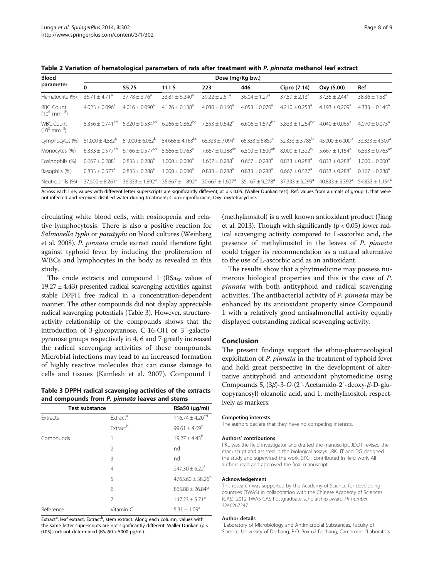<span id="page-7-0"></span>Table 2 Variation of hematological parameters of rats after treatment with P. pinnata methanol leaf extract

| <b>Blood</b>                                 | Dose (mg/Kg bw.)               |                                 |                                                                                                                                                                                                                         |                                                                 |                              |                               |                                                   |                              |  |
|----------------------------------------------|--------------------------------|---------------------------------|-------------------------------------------------------------------------------------------------------------------------------------------------------------------------------------------------------------------------|-----------------------------------------------------------------|------------------------------|-------------------------------|---------------------------------------------------|------------------------------|--|
| parameter                                    | $\bf{0}$                       | 55.75                           | 111.5                                                                                                                                                                                                                   | 223                                                             | 446                          | Cipro (7.14)                  | Oxy (5.00)                                        | Ref                          |  |
| Hematocrite (%)                              | $35.71 + 4.71a$                | $37.78 \pm 3.76^a$              | $33.81 \pm 6.240^a$                                                                                                                                                                                                     | $39.22 + 2.51^a$                                                | $36.04 + 1.27a$              | $37.59 + 2.13^a$              | $37.35 + 2.44^a$                                  | $38.36 \pm 1.58^{\circ}$     |  |
| <b>RBC Count</b><br>$(10^6 \text{ mm}^{-3})$ | $4.023 + 0.096^a$              | $4.016 + 0.090^a$               | $4.126 + 0.138^{a}$                                                                                                                                                                                                     | $4.030 + 0.160^a$                                               | $4.053 + 0.070^a$            | $4.210 + 0.253^a$             | $4.193 + 0.209$ <sup>a</sup>                      | $4.333 + 0.145^{\circ}$      |  |
| <b>WBC Count</b><br>$(10^3 \text{ mm}^{-3})$ |                                |                                 | $5.356 + 0.741^{ab}$ $5.320 + 0.534^{ab}$ $6.266 + 0.862^{bc}$ $7.553 + 0.642^{c}$ $6.606 + 1.572^{bc}$ $5.833 + 1.264^{bc}$ $4.040 + 0.065^{a}$                                                                        |                                                                 |                              |                               |                                                   | $4.070 + 0.075$ <sup>a</sup> |  |
| Lymphocytes (%)                              |                                |                                 | $51,000 \pm 4.582^{\circ}$ $51,000 \pm 6.082^{\circ}$ $54.666 \pm 4.163^{\circ}$ $65.333 \pm 7.094^{\circ}$ $65.333 \pm 5.859^{\circ}$ $52.333 \pm 3.785^{\circ}$ $45.000 \pm 6.000^{\circ}$ $33.333 \pm 4.509^{\circ}$ |                                                                 |                              |                               |                                                   |                              |  |
| Monocytes (%)                                | $6.333 + 0.577$ <sup>ab</sup>  | $6.166 \pm 0.577$ <sup>ab</sup> | $5.666 \pm 0.763$ <sup>a</sup>                                                                                                                                                                                          | $7.667 \pm 0.288$ <sup>ab</sup> $6.500 \pm 1.500$ <sup>ab</sup> |                              | $8.000 + 1.322$ <sup>b</sup>  | $5.667 + 1.154$ <sup>a</sup>                      | $6.833 + 0.763^{ab}$         |  |
| Eosinophils (%)                              | $0.667 \pm 0.288$ <sup>a</sup> | $0.833 \pm 0.288$ <sup>a</sup>  | $1.000 \pm 0.000$ <sup>a</sup>                                                                                                                                                                                          | $1.667 \pm 0.288^{\circ}$                                       | $0.667 + 0.288$ <sup>a</sup> | $0.833 + 0.288$ <sup>a</sup>  | $0.833 + 0.288$ <sup>a</sup>                      | $1.000 + 0.000^a$            |  |
| Basophils (%)                                | $0.833 + 0.577^a$              | $0.833 + 0.288^a$               | $1.000 \pm 0.000$ <sup>a</sup>                                                                                                                                                                                          | $0.833 + 0.288^a$                                               | $0.833 + 0.288^a$            | $0.667 + 0.577^a$             | $0.833 + 0.288$ <sup>a</sup>                      | $0.167 + 0.288$ <sup>a</sup> |  |
| Neutrophils (%)                              | $37.500 + 8.261$ <sup>a</sup>  | $36.333 \pm 1.892^{\circ}$      | $35.667 \pm 1.892^{\circ}$                                                                                                                                                                                              | $30.667 \pm 1.607^a$ 35.167 $\pm$ 9.278 <sup>a</sup>            |                              | $37.333 + 5.299$ <sup>a</sup> | $40.833 + 5.392^{\circ}$ $54.833 + 1.154^{\circ}$ |                              |  |
|                                              |                                |                                 |                                                                                                                                                                                                                         |                                                                 |                              |                               |                                                   |                              |  |

Across each line, values with different letter superscripts are significantly different, at p < 0.05. (Waller Dunkan test). Ref: values from animals of group 1, that were not infected and received distilled water during treatment; Cipro: ciprofloxacin; Oxy: oxytetracycline.

circulating white blood cells, with eosinopenia and relative lymphocytosis. There is also a positive reaction for Salmonella typhi or paratyphi on blood cultures (Weinberg et al. [2008](#page-8-0)). P. pinnata crude extract could therefore fight against typhoid fever by inducing the proliferation of WBCs and lymphocytes in the body as revealed in this study.

The crude extracts and compound 1 ( $RSa_{50}$  values of  $19.27 \pm 4.43$ ) presented radical scavenging activities against stable DPPH free radical in a concentration-dependent manner. The other compounds did not display appreciable radical scavenging potentials (Table 3). However, structureactivity relationship of the compounds shows that the introduction of 3-glucopyranose, C-16-OH or 3′-galactopyranose groups respectively in 4, 6 and 7 greatly increased the radical scavenging activities of these compounds. Microbial infections may lead to an increased formation of highly reactive molecules that can cause damage to cells and tissues (Kamlesh et al. [2007](#page-8-0)). Compound 1

Table 3 DPPH radical scavenging activities of the extracts and compounds from P. pinnata leaves and stems

| <b>Test substance</b> | $RSa50$ ( $\mu$ g/ml)      |                                 |  |  |
|-----------------------|----------------------------|---------------------------------|--|--|
| Extracts              | <b>Extract<sup>a</sup></b> | $116.74 \pm 4.20^{cd}$          |  |  |
|                       | Extractb                   | $99.61 \pm 4.69^{\circ}$        |  |  |
| Compounds             |                            | $19.27 \pm 4.43^b$              |  |  |
|                       | $\mathfrak{D}$             | nd                              |  |  |
|                       | 3                          | nd                              |  |  |
|                       | $\overline{4}$             | $247.30 + 6.22$ <sup>t</sup>    |  |  |
|                       | 5                          | $4763.60 + 38.26^h$             |  |  |
|                       | 6                          | $865.88 \pm 26.84$ <sup>9</sup> |  |  |
|                       | 7                          | $147.23 \pm 5.71^{\circ}$       |  |  |
| Reference             | Vitamin C                  | $5.31 \pm 1.09^a$               |  |  |

Extract<sup>a</sup>, leaf extract; Extract<sup>b</sup>, stem extract. Along each column, values with the same letter superscripts are not significantly different. Waller Dunkan (p < 0.05).; nd: not determined (RSa50 > 5000 μg/ml).

(methylinositol) is a well known antioxidant product (Jiang et al. [2013](#page-8-0)). Though with significantly ( $p < 0.05$ ) lower radical scavenging activity compared to L-ascorbic acid, the presence of methylinositol in the leaves of P. pinnata could trigger its recommendation as a natural alternative to the use of L-ascorbic acid as an antioxidant.

The results show that a phytmedicine may possess numerous biological properties and this is the case of P. pinnata with both antityphoid and radical scavenging activities. The antibacterial activity of P. pinnata may be enhanced by its antioxidant property since Compound 1 with a relatively good antisalmonellal activity equally displayed outstanding radical scavenging activity.

## Conclusion

The present findings support the ethno-pharmacological exploitation of P. *pinnata* in the treatment of typhoid fever and hold great perspective in the development of alternative antityphoid and antioxidant phytomedicine using Compounds 5, (3β)-3-O-(2′-Acetamido-2′-deoxy-β-D-glucopyranosyl) oleanolic acid, and 1, methylinositol, respectively as markers.

#### Competing interests

The authors declare that they have no competing interests.

#### Authors' contributions

PKL was the field investigator and drafted the manuscript. JDDT revised the manuscript and assisted in the biological assays. JRK, JT and DG designed the study and supervised the work. SPCF contributed in field work. All authors read and approved the final manuscript.

#### Acknowledgement

This research was supported by the Academy of Science for developing countries (TWAS) in collaboration with the Chinese Academy of Sciences (CAS). 2012 TWAS-CAS Postgraduate scholarship award FR number: 3240267247.

#### Author details

<sup>1</sup> Laboratory of Microbiology and Antimicrobial Substances, Faculty of Science, University of Dschang, P.O. Box 67 Dschang, Cameroon. <sup>2</sup>Laboratory